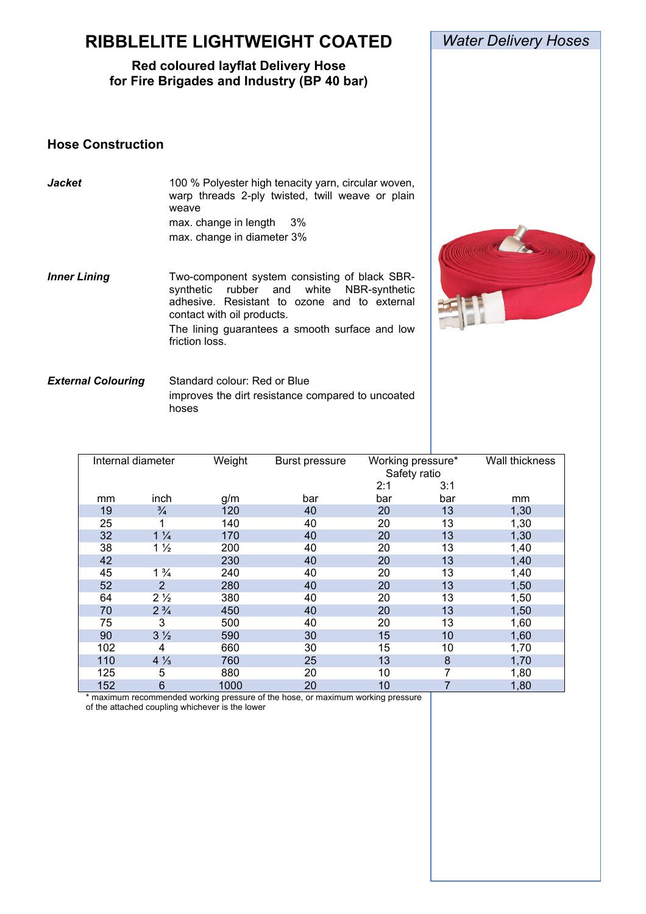| <b>RIBBLELITE LIGHTWEIGHT COATED</b>                                             |                          |                              |                                                                                            |                                                                                                                                                                                  |                                   |          | <b>Water Delivery Hoses</b> |  |  |
|----------------------------------------------------------------------------------|--------------------------|------------------------------|--------------------------------------------------------------------------------------------|----------------------------------------------------------------------------------------------------------------------------------------------------------------------------------|-----------------------------------|----------|-----------------------------|--|--|
| Red coloured layflat Delivery Hose<br>for Fire Brigades and Industry (BP 40 bar) |                          |                              |                                                                                            |                                                                                                                                                                                  |                                   |          |                             |  |  |
|                                                                                  | <b>Hose Construction</b> |                              |                                                                                            |                                                                                                                                                                                  |                                   |          |                             |  |  |
| Jacket                                                                           |                          | weave                        | max. change in length<br>max. change in diameter 3%                                        | 100 % Polyester high tenacity yarn, circular woven,<br>warp threads 2-ply twisted, twill weave or plain<br>3%                                                                    |                                   |          |                             |  |  |
| <b>Inner Lining</b>                                                              |                          |                              | rubber<br>synthetic<br>contact with oil products.<br>friction loss.                        | Two-component system consisting of black SBR-<br>NBR-synthetic<br>and<br>white<br>adhesive. Resistant to ozone and to external<br>The lining guarantees a smooth surface and low |                                   |          |                             |  |  |
| <b>External Colouring</b>                                                        |                          |                              | Standard colour: Red or Blue<br>improves the dirt resistance compared to uncoated<br>hoses |                                                                                                                                                                                  |                                   |          |                             |  |  |
|                                                                                  | Internal diameter        |                              | Weight                                                                                     | <b>Burst pressure</b>                                                                                                                                                            | Working pressure*<br>Safety ratio |          | Wall thickness              |  |  |
|                                                                                  |                          |                              |                                                                                            |                                                                                                                                                                                  | 2:1                               | 3:1      |                             |  |  |
|                                                                                  | mm                       | inch                         | g/m                                                                                        | bar                                                                                                                                                                              | bar                               | bar      | mm                          |  |  |
|                                                                                  | 19<br>25                 | $\frac{3}{4}$<br>$\mathbf 1$ | 120<br>140                                                                                 | 40<br>40                                                                                                                                                                         | 20<br>20                          | 13<br>13 | 1,30<br>1,30                |  |  |
|                                                                                  | 32                       | $1\frac{1}{4}$               | 170                                                                                        | 40                                                                                                                                                                               | 20                                | 13       | 1,30                        |  |  |
|                                                                                  | 38                       | $1\frac{1}{2}$               | 200                                                                                        | 40                                                                                                                                                                               | 20                                | 13       | 1,40                        |  |  |
|                                                                                  | 42                       |                              | 230                                                                                        | 40                                                                                                                                                                               | 20                                | 13       | 1,40                        |  |  |
|                                                                                  | 45                       | $1\frac{3}{4}$               | 240                                                                                        | 40                                                                                                                                                                               | 20                                | 13       | 1,40                        |  |  |
|                                                                                  | 52                       | $\overline{2}$               | 280                                                                                        | 40                                                                                                                                                                               | 20                                | 13       | 1,50                        |  |  |

64 2 ½ 380 40 20 13 1,50 70 2 ¾ 450 40 20 13 1,50 75 3 500 40 20 13 1,60 90 3 ½ 590 30 15 10 1,60 102 4 660 30 15 10 1,70 110 4 ⅓ 760 25 13 8 1,70 125 5 880 20 10 7 1,80 152 6 1000 20 10 7 1,80

\* maximum recommended working pressure of the hose, or maximum working pressure of the attached coupling whichever is the lower